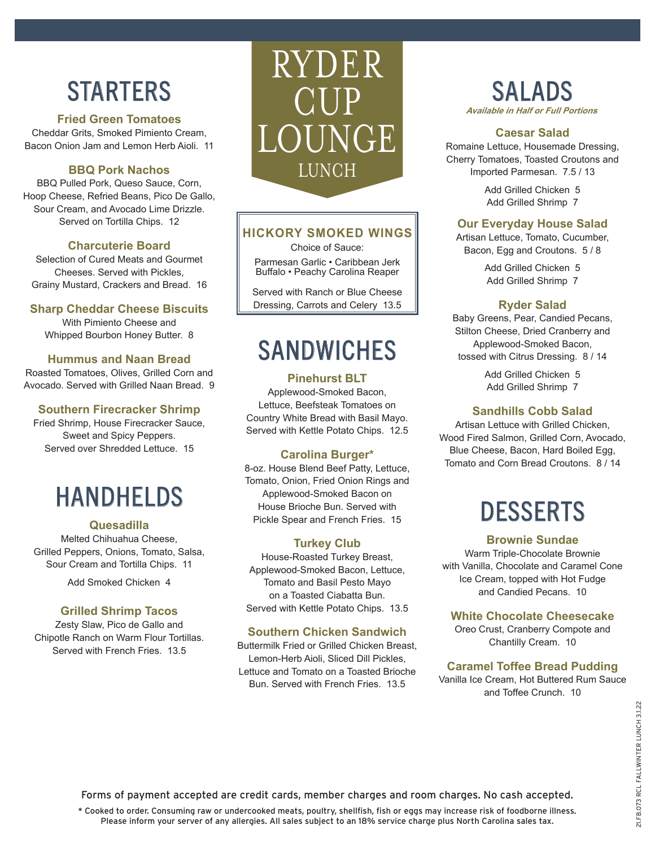## **STARTERS**

#### **Fried Green Tomatoes**

Cheddar Grits, Smoked Pimiento Cream, Bacon Onion Jam and Lemon Herb Aioli. 11

#### **BBQ Pork Nachos**

BBQ Pulled Pork, Queso Sauce, Corn, Hoop Cheese, Refried Beans, Pico De Gallo, Sour Cream, and Avocado Lime Drizzle. Served on Tortilla Chips. 12

### **Charcuterie Board**

Selection of Cured Meats and Gourmet Cheeses. Served with Pickles, Grainy Mustard, Crackers and Bread. 16

#### **Sharp Cheddar Cheese Biscuits**

With Pimiento Cheese and Whipped Bourbon Honey Butter. 8

#### **Hummus and Naan Bread**

Roasted Tomatoes, Olives, Grilled Corn and Avocado. Served with Grilled Naan Bread. 9

#### **Southern Firecracker Shrimp**

Fried Shrimp, House Firecracker Sauce, Sweet and Spicy Peppers. Served over Shredded Lettuce. 15

## HANDHELDS

#### **Quesadilla**

Melted Chihuahua Cheese, Grilled Peppers, Onions, Tomato, Salsa, Sour Cream and Tortilla Chips. 11

Add Smoked Chicken 4

### **Grilled Shrimp Tacos**

Zesty Slaw, Pico de Gallo and Chipotle Ranch on Warm Flour Tortillas. Served with French Fries. 13.5

# RYDER CUP LOUNGE LUNCH

### **HICKORY SMOKED WINGS**

Choice of Sauce: Parmesan Garlic • Caribbean Jerk Buffalo • Peachy Carolina Reaper

Served with Ranch or Blue Cheese Dressing, Carrots and Celery 13.5

## **SANDWICHES**

#### **Pinehurst BLT**

Applewood-Smoked Bacon, Lettuce, Beefsteak Tomatoes on Country White Bread with Basil Mayo. Served with Kettle Potato Chips. 12.5

#### **Carolina Burger\***

8-oz. House Blend Beef Patty, Lettuce, Tomato, Onion, Fried Onion Rings and Applewood-Smoked Bacon on House Brioche Bun. Served with Pickle Spear and French Fries. 15

#### **Turkey Club**

House-Roasted Turkey Breast, Applewood-Smoked Bacon, Lettuce, Tomato and Basil Pesto Mayo on a Toasted Ciabatta Bun. Served with Kettle Potato Chips. 13.5

#### **Southern Chicken Sandwich**

Buttermilk Fried or Grilled Chicken Breast, Lemon-Herb Aioli, Sliced Dill Pickles, Lettuce and Tomato on a Toasted Brioche Bun. Served with French Fries. 13.5

### **Available in Half or Full Portions** SALADS

#### **Caesar Salad**

Romaine Lettuce, Housemade Dressing, Cherry Tomatoes, Toasted Croutons and Imported Parmesan. 7.5 / 13

> Add Grilled Chicken 5 Add Grilled Shrimp 7

#### **Our Everyday House Salad**

Artisan Lettuce, Tomato, Cucumber, Bacon, Egg and Croutons. 5 / 8

> Add Grilled Chicken 5 Add Grilled Shrimp 7

#### **Ryder Salad**

Baby Greens, Pear, Candied Pecans, Stilton Cheese, Dried Cranberry and Applewood-Smoked Bacon, tossed with Citrus Dressing. 8 / 14

> Add Grilled Chicken 5 Add Grilled Shrimp 7

#### **Sandhills Cobb Salad**

Artisan Lettuce with Grilled Chicken, Wood Fired Salmon, Grilled Corn, Avocado, Blue Cheese, Bacon, Hard Boiled Egg, Tomato and Corn Bread Croutons. 8 / 14

## DESSERTS

#### **Brownie Sundae**

Warm Triple-Chocolate Brownie with Vanilla, Chocolate and Caramel Cone Ice Cream, topped with Hot Fudge and Candied Pecans. 10

#### **White Chocolate Cheesecake**

Oreo Crust, Cranberry Compote and Chantilly Cream. 10

#### **Caramel Toffee Bread Pudding**

Vanilla Ice Cream, Hot Buttered Rum Sauce and Toffee Crunch. 10

Forms of payment accepted are credit cards, member charges and room charges. No cash accepted.

\* Cooked to order. Consuming raw or undercooked meats, poultry, shellfish, fish or eggs may increase risk of foodborne illness. Please inform your server of any allergies. All sales subject to an 18% service charge plus North Carolina sales tax.